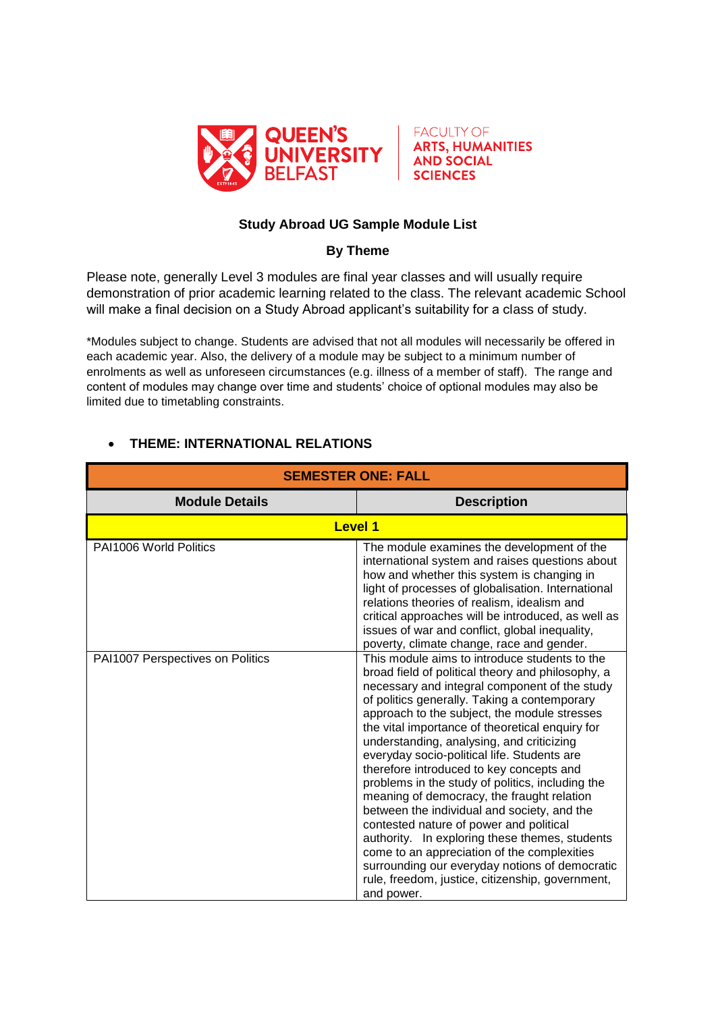



## **Study Abroad UG Sample Module List**

## **By Theme**

Please note, generally Level 3 modules are final year classes and will usually require demonstration of prior academic learning related to the class. The relevant academic School will make a final decision on a Study Abroad applicant's suitability for a class of study.

\*Modules subject to change. Students are advised that not all modules will necessarily be offered in each academic year. Also, the delivery of a module may be subject to a minimum number of enrolments as well as unforeseen circumstances (e.g. illness of a member of staff). The range and content of modules may change over time and students' choice of optional modules may also be limited due to timetabling constraints.

| <b>SEMESTER ONE: FALL</b>                                  |                                                                                                                                                                                                                                                                                                                                                                                                                                                                                                                                                                                                                                                                                                                                                                                                                |
|------------------------------------------------------------|----------------------------------------------------------------------------------------------------------------------------------------------------------------------------------------------------------------------------------------------------------------------------------------------------------------------------------------------------------------------------------------------------------------------------------------------------------------------------------------------------------------------------------------------------------------------------------------------------------------------------------------------------------------------------------------------------------------------------------------------------------------------------------------------------------------|
| <b>Module Details</b>                                      | <b>Description</b>                                                                                                                                                                                                                                                                                                                                                                                                                                                                                                                                                                                                                                                                                                                                                                                             |
|                                                            | <b>Level 1</b>                                                                                                                                                                                                                                                                                                                                                                                                                                                                                                                                                                                                                                                                                                                                                                                                 |
| PAI1006 World Politics<br>PAI1007 Perspectives on Politics | The module examines the development of the<br>international system and raises questions about<br>how and whether this system is changing in<br>light of processes of globalisation. International<br>relations theories of realism, idealism and<br>critical approaches will be introduced, as well as<br>issues of war and conflict, global inequality,<br>poverty, climate change, race and gender.<br>This module aims to introduce students to the                                                                                                                                                                                                                                                                                                                                                         |
|                                                            | broad field of political theory and philosophy, a<br>necessary and integral component of the study<br>of politics generally. Taking a contemporary<br>approach to the subject, the module stresses<br>the vital importance of theoretical enquiry for<br>understanding, analysing, and criticizing<br>everyday socio-political life. Students are<br>therefore introduced to key concepts and<br>problems in the study of politics, including the<br>meaning of democracy, the fraught relation<br>between the individual and society, and the<br>contested nature of power and political<br>authority. In exploring these themes, students<br>come to an appreciation of the complexities<br>surrounding our everyday notions of democratic<br>rule, freedom, justice, citizenship, government,<br>and power. |

## **THEME: INTERNATIONAL RELATIONS**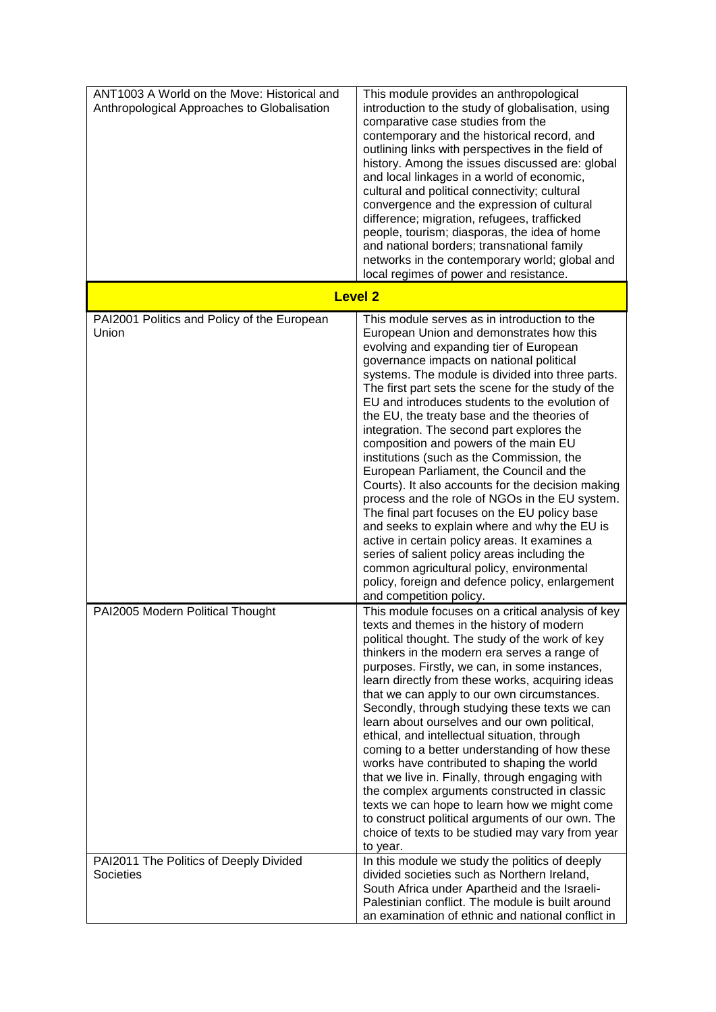| ANT1003 A World on the Move: Historical and<br>Anthropological Approaches to Globalisation | This module provides an anthropological<br>introduction to the study of globalisation, using<br>comparative case studies from the<br>contemporary and the historical record, and<br>outlining links with perspectives in the field of<br>history. Among the issues discussed are: global<br>and local linkages in a world of economic,<br>cultural and political connectivity; cultural<br>convergence and the expression of cultural<br>difference; migration, refugees, trafficked<br>people, tourism; diasporas, the idea of home<br>and national borders; transnational family<br>networks in the contemporary world; global and<br>local regimes of power and resistance.                                                                                                                                                                                                                                                                                                                               |
|--------------------------------------------------------------------------------------------|--------------------------------------------------------------------------------------------------------------------------------------------------------------------------------------------------------------------------------------------------------------------------------------------------------------------------------------------------------------------------------------------------------------------------------------------------------------------------------------------------------------------------------------------------------------------------------------------------------------------------------------------------------------------------------------------------------------------------------------------------------------------------------------------------------------------------------------------------------------------------------------------------------------------------------------------------------------------------------------------------------------|
|                                                                                            | <b>Level 2</b>                                                                                                                                                                                                                                                                                                                                                                                                                                                                                                                                                                                                                                                                                                                                                                                                                                                                                                                                                                                               |
| PAI2001 Politics and Policy of the European<br>Union                                       | This module serves as in introduction to the<br>European Union and demonstrates how this<br>evolving and expanding tier of European<br>governance impacts on national political<br>systems. The module is divided into three parts.<br>The first part sets the scene for the study of the<br>EU and introduces students to the evolution of<br>the EU, the treaty base and the theories of<br>integration. The second part explores the<br>composition and powers of the main EU<br>institutions (such as the Commission, the<br>European Parliament, the Council and the<br>Courts). It also accounts for the decision making<br>process and the role of NGOs in the EU system.<br>The final part focuses on the EU policy base<br>and seeks to explain where and why the EU is<br>active in certain policy areas. It examines a<br>series of salient policy areas including the<br>common agricultural policy, environmental<br>policy, foreign and defence policy, enlargement<br>and competition policy. |
| PAI2005 Modern Political Thought                                                           | This module focuses on a critical analysis of key<br>texts and themes in the history of modern<br>political thought. The study of the work of key<br>thinkers in the modern era serves a range of<br>purposes. Firstly, we can, in some instances,<br>learn directly from these works, acquiring ideas<br>that we can apply to our own circumstances.<br>Secondly, through studying these texts we can<br>learn about ourselves and our own political,<br>ethical, and intellectual situation, through<br>coming to a better understanding of how these<br>works have contributed to shaping the world<br>that we live in. Finally, through engaging with<br>the complex arguments constructed in classic<br>texts we can hope to learn how we might come<br>to construct political arguments of our own. The<br>choice of texts to be studied may vary from year<br>to year.                                                                                                                                |
| PAI2011 The Politics of Deeply Divided<br>Societies                                        | In this module we study the politics of deeply<br>divided societies such as Northern Ireland,<br>South Africa under Apartheid and the Israeli-<br>Palestinian conflict. The module is built around<br>an examination of ethnic and national conflict in                                                                                                                                                                                                                                                                                                                                                                                                                                                                                                                                                                                                                                                                                                                                                      |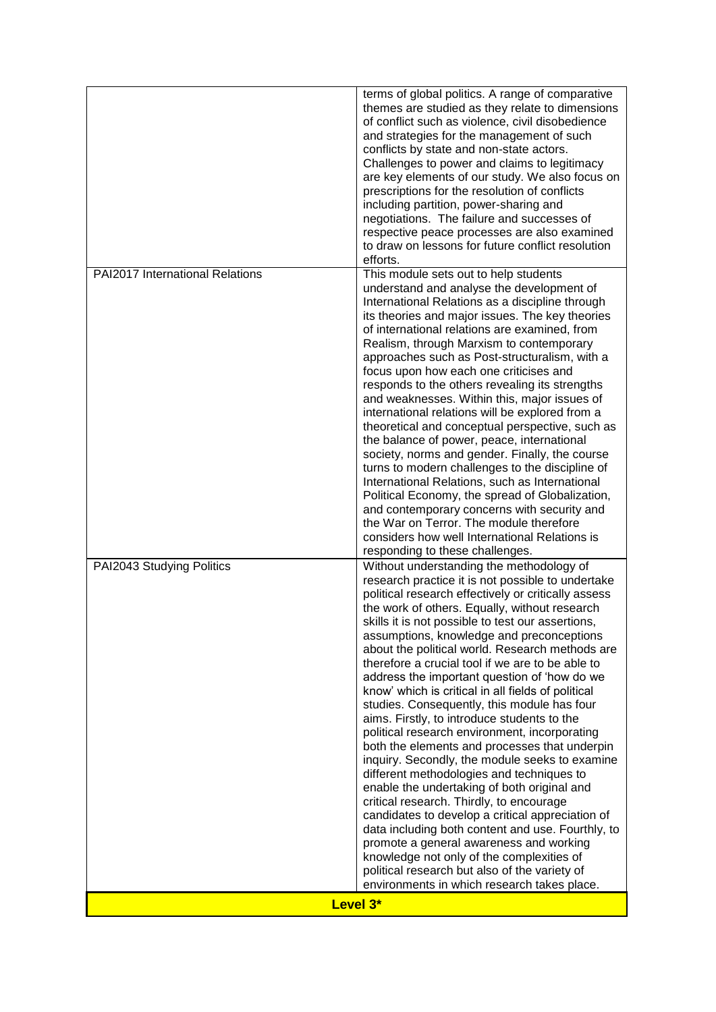| Level 3*                        | environments in which research takes place.                                                                                                                                                                                                                                                                                                                                                                                                                                                                                                                                                                                                                                                                                                                                                                                                                                                                                                                                                                                                                                                                                                                      |
|---------------------------------|------------------------------------------------------------------------------------------------------------------------------------------------------------------------------------------------------------------------------------------------------------------------------------------------------------------------------------------------------------------------------------------------------------------------------------------------------------------------------------------------------------------------------------------------------------------------------------------------------------------------------------------------------------------------------------------------------------------------------------------------------------------------------------------------------------------------------------------------------------------------------------------------------------------------------------------------------------------------------------------------------------------------------------------------------------------------------------------------------------------------------------------------------------------|
| PAI2043 Studying Politics       | Without understanding the methodology of<br>research practice it is not possible to undertake<br>political research effectively or critically assess<br>the work of others. Equally, without research<br>skills it is not possible to test our assertions,<br>assumptions, knowledge and preconceptions<br>about the political world. Research methods are<br>therefore a crucial tool if we are to be able to<br>address the important question of 'how do we<br>know' which is critical in all fields of political<br>studies. Consequently, this module has four<br>aims. Firstly, to introduce students to the<br>political research environment, incorporating<br>both the elements and processes that underpin<br>inquiry. Secondly, the module seeks to examine<br>different methodologies and techniques to<br>enable the undertaking of both original and<br>critical research. Thirdly, to encourage<br>candidates to develop a critical appreciation of<br>data including both content and use. Fourthly, to<br>promote a general awareness and working<br>knowledge not only of the complexities of<br>political research but also of the variety of |
| PAI2017 International Relations | This module sets out to help students<br>understand and analyse the development of<br>International Relations as a discipline through<br>its theories and major issues. The key theories<br>of international relations are examined, from<br>Realism, through Marxism to contemporary<br>approaches such as Post-structuralism, with a<br>focus upon how each one criticises and<br>responds to the others revealing its strengths<br>and weaknesses. Within this, major issues of<br>international relations will be explored from a<br>theoretical and conceptual perspective, such as<br>the balance of power, peace, international<br>society, norms and gender. Finally, the course<br>turns to modern challenges to the discipline of<br>International Relations, such as International<br>Political Economy, the spread of Globalization,<br>and contemporary concerns with security and<br>the War on Terror. The module therefore<br>considers how well International Relations is<br>responding to these challenges.                                                                                                                                   |
|                                 | terms of global politics. A range of comparative<br>themes are studied as they relate to dimensions<br>of conflict such as violence, civil disobedience<br>and strategies for the management of such<br>conflicts by state and non-state actors.<br>Challenges to power and claims to legitimacy<br>are key elements of our study. We also focus on<br>prescriptions for the resolution of conflicts<br>including partition, power-sharing and<br>negotiations. The failure and successes of<br>respective peace processes are also examined<br>to draw on lessons for future conflict resolution<br>efforts.                                                                                                                                                                                                                                                                                                                                                                                                                                                                                                                                                    |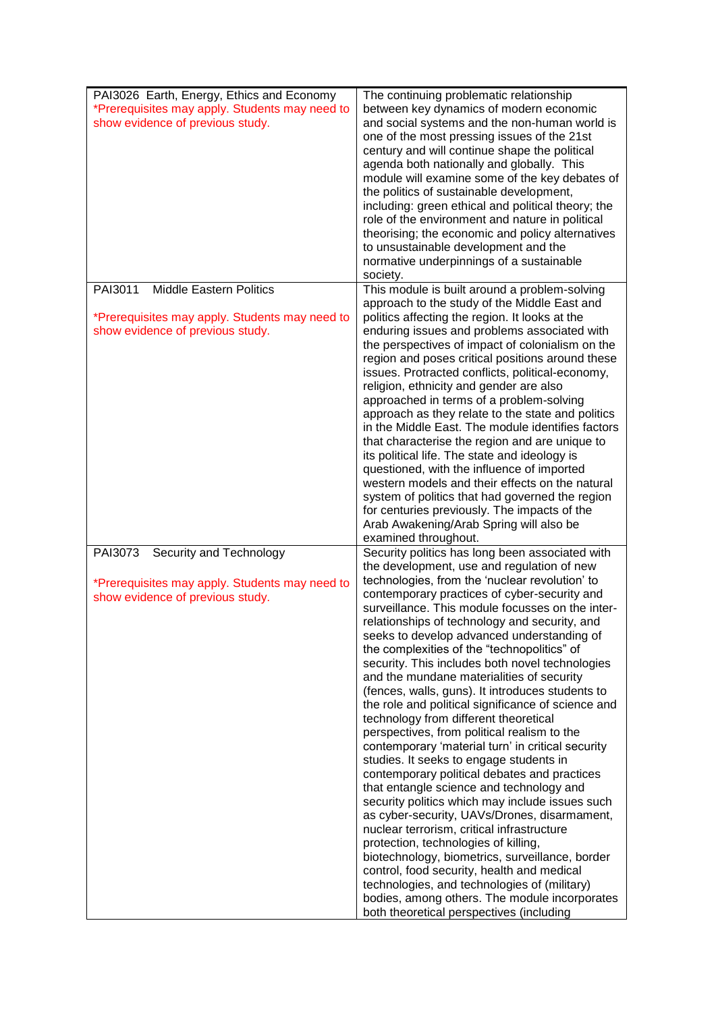| PAI3026 Earth, Energy, Ethics and Economy<br>*Prerequisites may apply. Students may need to<br>show evidence of previous study. | The continuing problematic relationship<br>between key dynamics of modern economic<br>and social systems and the non-human world is<br>one of the most pressing issues of the 21st<br>century and will continue shape the political<br>agenda both nationally and globally. This<br>module will examine some of the key debates of<br>the politics of sustainable development,<br>including: green ethical and political theory; the<br>role of the environment and nature in political<br>theorising; the economic and policy alternatives<br>to unsustainable development and the<br>normative underpinnings of a sustainable<br>society.                                                                                                                                                                                                                                                                                                                                                                                                                                                                                                                                                                                                                                                                                            |
|---------------------------------------------------------------------------------------------------------------------------------|----------------------------------------------------------------------------------------------------------------------------------------------------------------------------------------------------------------------------------------------------------------------------------------------------------------------------------------------------------------------------------------------------------------------------------------------------------------------------------------------------------------------------------------------------------------------------------------------------------------------------------------------------------------------------------------------------------------------------------------------------------------------------------------------------------------------------------------------------------------------------------------------------------------------------------------------------------------------------------------------------------------------------------------------------------------------------------------------------------------------------------------------------------------------------------------------------------------------------------------------------------------------------------------------------------------------------------------|
| <b>Middle Eastern Politics</b><br>PAI3011<br>*Prerequisites may apply. Students may need to<br>show evidence of previous study. | This module is built around a problem-solving<br>approach to the study of the Middle East and<br>politics affecting the region. It looks at the<br>enduring issues and problems associated with<br>the perspectives of impact of colonialism on the<br>region and poses critical positions around these<br>issues. Protracted conflicts, political-economy,<br>religion, ethnicity and gender are also<br>approached in terms of a problem-solving<br>approach as they relate to the state and politics<br>in the Middle East. The module identifies factors<br>that characterise the region and are unique to<br>its political life. The state and ideology is<br>questioned, with the influence of imported<br>western models and their effects on the natural<br>system of politics that had governed the region<br>for centuries previously. The impacts of the<br>Arab Awakening/Arab Spring will also be<br>examined throughout.                                                                                                                                                                                                                                                                                                                                                                                                 |
| PAI3073<br>Security and Technology<br>*Prerequisites may apply. Students may need to<br>show evidence of previous study.        | Security politics has long been associated with<br>the development, use and regulation of new<br>technologies, from the 'nuclear revolution' to<br>contemporary practices of cyber-security and<br>surveillance. This module focusses on the inter-<br>relationships of technology and security, and<br>seeks to develop advanced understanding of<br>the complexities of the "technopolitics" of<br>security. This includes both novel technologies<br>and the mundane materialities of security<br>(fences, walls, guns). It introduces students to<br>the role and political significance of science and<br>technology from different theoretical<br>perspectives, from political realism to the<br>contemporary 'material turn' in critical security<br>studies. It seeks to engage students in<br>contemporary political debates and practices<br>that entangle science and technology and<br>security politics which may include issues such<br>as cyber-security, UAVs/Drones, disarmament,<br>nuclear terrorism, critical infrastructure<br>protection, technologies of killing,<br>biotechnology, biometrics, surveillance, border<br>control, food security, health and medical<br>technologies, and technologies of (military)<br>bodies, among others. The module incorporates<br>both theoretical perspectives (including |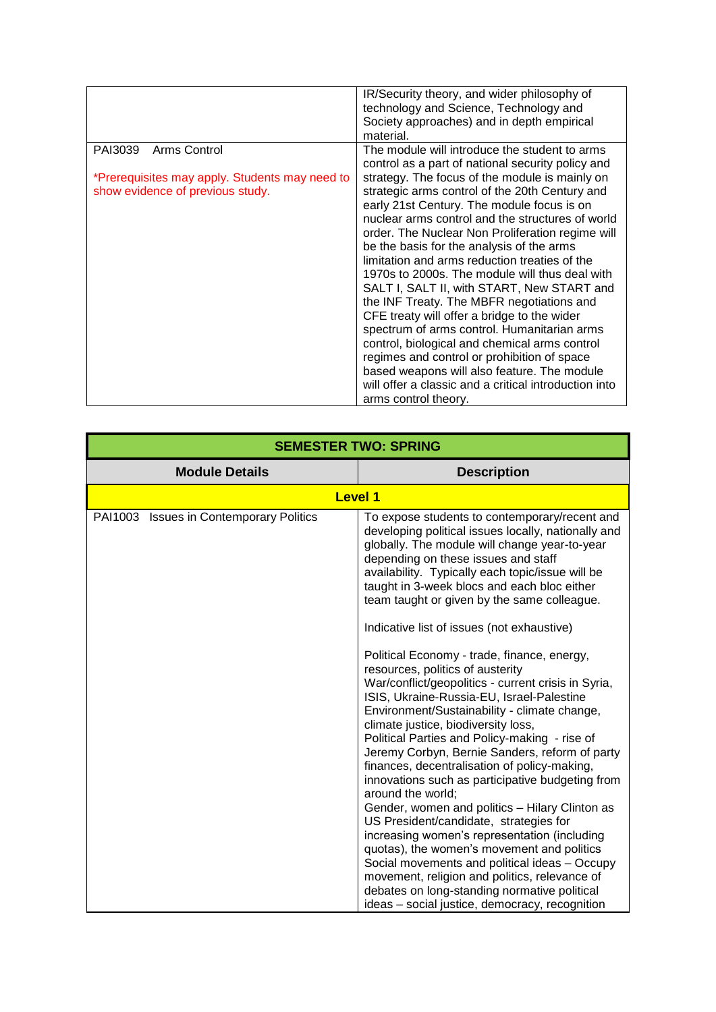| The module will introduce the student to arms<br>PAI3039<br>control as a part of national security policy and<br>strategy. The focus of the module is mainly on<br>*Prerequisites may apply. Students may need to<br>strategic arms control of the 20th Century and<br>show evidence of previous study.<br>early 21st Century. The module focus is on<br>nuclear arms control and the structures of world<br>order. The Nuclear Non Proliferation regime will<br>be the basis for the analysis of the arms<br>limitation and arms reduction treaties of the<br>1970s to 2000s. The module will thus deal with<br>SALT I, SALT II, with START, New START and<br>the INF Treaty. The MBFR negotiations and<br>CFE treaty will offer a bridge to the wider<br>spectrum of arms control. Humanitarian arms<br>control, biological and chemical arms control<br>regimes and control or prohibition of space |              | IR/Security theory, and wider philosophy of<br>technology and Science, Technology and<br>Society approaches) and in depth empirical<br>material. |
|--------------------------------------------------------------------------------------------------------------------------------------------------------------------------------------------------------------------------------------------------------------------------------------------------------------------------------------------------------------------------------------------------------------------------------------------------------------------------------------------------------------------------------------------------------------------------------------------------------------------------------------------------------------------------------------------------------------------------------------------------------------------------------------------------------------------------------------------------------------------------------------------------------|--------------|--------------------------------------------------------------------------------------------------------------------------------------------------|
| will offer a classic and a critical introduction into<br>arms control theory.                                                                                                                                                                                                                                                                                                                                                                                                                                                                                                                                                                                                                                                                                                                                                                                                                          | Arms Control | based weapons will also feature. The module                                                                                                      |

|                                         | <b>SEMESTER TWO: SPRING</b>                                                                                                                                                                                                                                                                                                                                                                                                                                                                                                                                                                                                                                                                                                                                                                                                                                                                                                                                                                                                                                                                                                                                                                                                                                                                          |
|-----------------------------------------|------------------------------------------------------------------------------------------------------------------------------------------------------------------------------------------------------------------------------------------------------------------------------------------------------------------------------------------------------------------------------------------------------------------------------------------------------------------------------------------------------------------------------------------------------------------------------------------------------------------------------------------------------------------------------------------------------------------------------------------------------------------------------------------------------------------------------------------------------------------------------------------------------------------------------------------------------------------------------------------------------------------------------------------------------------------------------------------------------------------------------------------------------------------------------------------------------------------------------------------------------------------------------------------------------|
| <b>Module Details</b>                   | <b>Description</b>                                                                                                                                                                                                                                                                                                                                                                                                                                                                                                                                                                                                                                                                                                                                                                                                                                                                                                                                                                                                                                                                                                                                                                                                                                                                                   |
|                                         | <b>Level 1</b>                                                                                                                                                                                                                                                                                                                                                                                                                                                                                                                                                                                                                                                                                                                                                                                                                                                                                                                                                                                                                                                                                                                                                                                                                                                                                       |
| PAI1003 Issues in Contemporary Politics | To expose students to contemporary/recent and<br>developing political issues locally, nationally and<br>globally. The module will change year-to-year<br>depending on these issues and staff<br>availability. Typically each topic/issue will be<br>taught in 3-week blocs and each bloc either<br>team taught or given by the same colleague.<br>Indicative list of issues (not exhaustive)<br>Political Economy - trade, finance, energy,<br>resources, politics of austerity<br>War/conflict/geopolitics - current crisis in Syria,<br>ISIS, Ukraine-Russia-EU, Israel-Palestine<br>Environment/Sustainability - climate change,<br>climate justice, biodiversity loss,<br>Political Parties and Policy-making - rise of<br>Jeremy Corbyn, Bernie Sanders, reform of party<br>finances, decentralisation of policy-making,<br>innovations such as participative budgeting from<br>around the world;<br>Gender, women and politics - Hilary Clinton as<br>US President/candidate, strategies for<br>increasing women's representation (including<br>quotas), the women's movement and politics<br>Social movements and political ideas - Occupy<br>movement, religion and politics, relevance of<br>debates on long-standing normative political<br>ideas - social justice, democracy, recognition |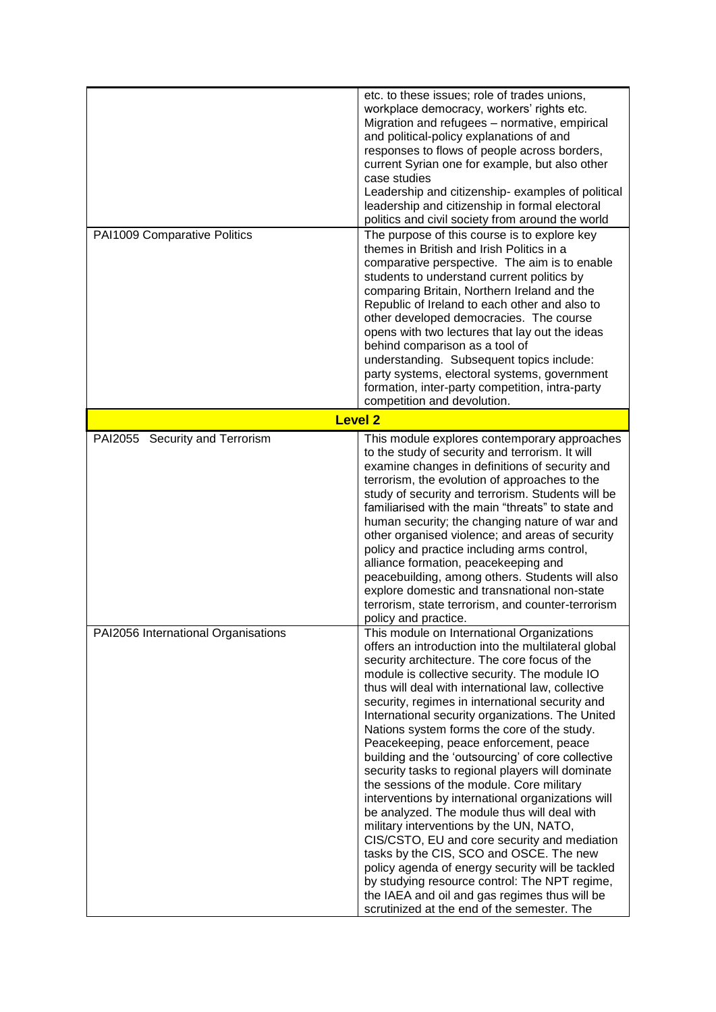|                                     | etc. to these issues; role of trades unions,<br>workplace democracy, workers' rights etc.<br>Migration and refugees - normative, empirical<br>and political-policy explanations of and<br>responses to flows of people across borders,<br>current Syrian one for example, but also other<br>case studies<br>Leadership and citizenship-examples of political<br>leadership and citizenship in formal electoral<br>politics and civil society from around the world                                                                                                                                                                                                                                                                                                                                                                                                                                                                                                                                                                                          |
|-------------------------------------|-------------------------------------------------------------------------------------------------------------------------------------------------------------------------------------------------------------------------------------------------------------------------------------------------------------------------------------------------------------------------------------------------------------------------------------------------------------------------------------------------------------------------------------------------------------------------------------------------------------------------------------------------------------------------------------------------------------------------------------------------------------------------------------------------------------------------------------------------------------------------------------------------------------------------------------------------------------------------------------------------------------------------------------------------------------|
| PAI1009 Comparative Politics        | The purpose of this course is to explore key<br>themes in British and Irish Politics in a<br>comparative perspective. The aim is to enable<br>students to understand current politics by<br>comparing Britain, Northern Ireland and the<br>Republic of Ireland to each other and also to<br>other developed democracies. The course<br>opens with two lectures that lay out the ideas<br>behind comparison as a tool of<br>understanding. Subsequent topics include:<br>party systems, electoral systems, government<br>formation, inter-party competition, intra-party<br>competition and devolution.                                                                                                                                                                                                                                                                                                                                                                                                                                                      |
|                                     | <b>Level 2</b>                                                                                                                                                                                                                                                                                                                                                                                                                                                                                                                                                                                                                                                                                                                                                                                                                                                                                                                                                                                                                                              |
| PAI2055 Security and Terrorism      | This module explores contemporary approaches<br>to the study of security and terrorism. It will<br>examine changes in definitions of security and<br>terrorism, the evolution of approaches to the<br>study of security and terrorism. Students will be<br>familiarised with the main "threats" to state and<br>human security; the changing nature of war and<br>other organised violence; and areas of security<br>policy and practice including arms control,<br>alliance formation, peacekeeping and<br>peacebuilding, among others. Students will also<br>explore domestic and transnational non-state<br>terrorism, state terrorism, and counter-terrorism<br>policy and practice.                                                                                                                                                                                                                                                                                                                                                                    |
| PAI2056 International Organisations | This module on International Organizations<br>offers an introduction into the multilateral global<br>security architecture. The core focus of the<br>module is collective security. The module IO<br>thus will deal with international law, collective<br>security, regimes in international security and<br>International security organizations. The United<br>Nations system forms the core of the study.<br>Peacekeeping, peace enforcement, peace<br>building and the 'outsourcing' of core collective<br>security tasks to regional players will dominate<br>the sessions of the module. Core military<br>interventions by international organizations will<br>be analyzed. The module thus will deal with<br>military interventions by the UN, NATO,<br>CIS/CSTO, EU and core security and mediation<br>tasks by the CIS, SCO and OSCE. The new<br>policy agenda of energy security will be tackled<br>by studying resource control: The NPT regime,<br>the IAEA and oil and gas regimes thus will be<br>scrutinized at the end of the semester. The |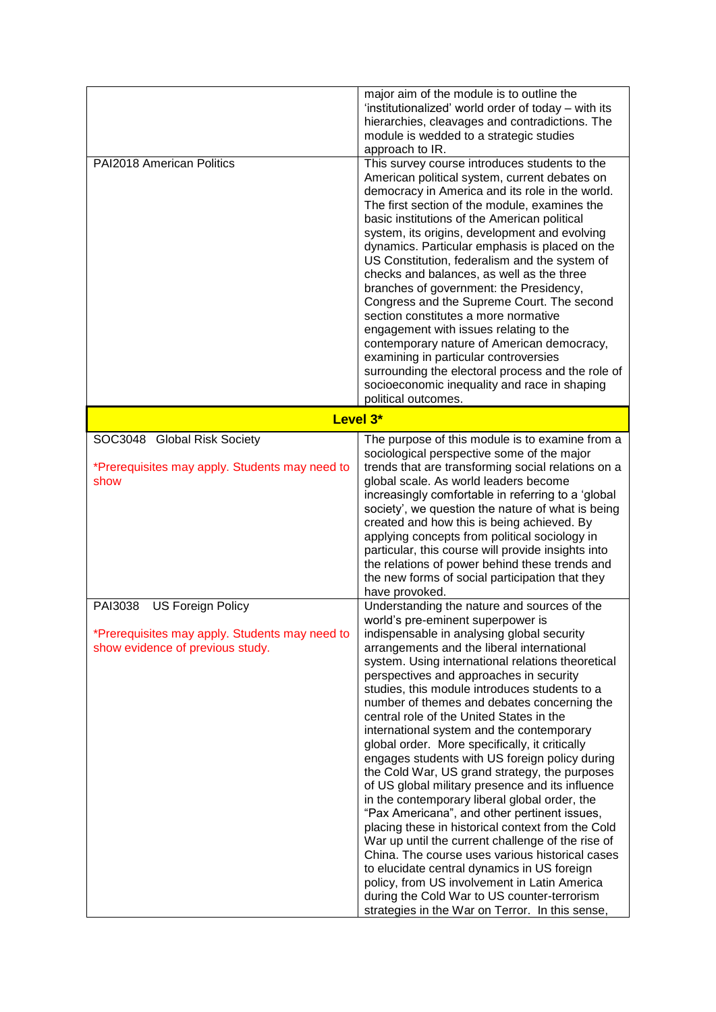|                                                                                                                           | major aim of the module is to outline the<br>'institutionalized' world order of today – with its<br>hierarchies, cleavages and contradictions. The<br>module is wedded to a strategic studies<br>approach to IR.                                                                                                                                                                                                                                                                                                                                                                                                                                                                                                                                                                                                                                                                                                                                                                                                                                                                                                                              |
|---------------------------------------------------------------------------------------------------------------------------|-----------------------------------------------------------------------------------------------------------------------------------------------------------------------------------------------------------------------------------------------------------------------------------------------------------------------------------------------------------------------------------------------------------------------------------------------------------------------------------------------------------------------------------------------------------------------------------------------------------------------------------------------------------------------------------------------------------------------------------------------------------------------------------------------------------------------------------------------------------------------------------------------------------------------------------------------------------------------------------------------------------------------------------------------------------------------------------------------------------------------------------------------|
| PAI2018 American Politics                                                                                                 | This survey course introduces students to the<br>American political system, current debates on<br>democracy in America and its role in the world.<br>The first section of the module, examines the<br>basic institutions of the American political<br>system, its origins, development and evolving<br>dynamics. Particular emphasis is placed on the<br>US Constitution, federalism and the system of<br>checks and balances, as well as the three<br>branches of government: the Presidency,<br>Congress and the Supreme Court. The second<br>section constitutes a more normative<br>engagement with issues relating to the<br>contemporary nature of American democracy,<br>examining in particular controversies<br>surrounding the electoral process and the role of<br>socioeconomic inequality and race in shaping<br>political outcomes.                                                                                                                                                                                                                                                                                             |
|                                                                                                                           | Level 3*                                                                                                                                                                                                                                                                                                                                                                                                                                                                                                                                                                                                                                                                                                                                                                                                                                                                                                                                                                                                                                                                                                                                      |
| SOC3048 Global Risk Society<br>*Prerequisites may apply. Students may need to<br>show                                     | The purpose of this module is to examine from a<br>sociological perspective some of the major<br>trends that are transforming social relations on a<br>global scale. As world leaders become<br>increasingly comfortable in referring to a 'global<br>society', we question the nature of what is being<br>created and how this is being achieved. By<br>applying concepts from political sociology in<br>particular, this course will provide insights into<br>the relations of power behind these trends and<br>the new forms of social participation that they<br>have provoked.                                                                                                                                                                                                                                                                                                                                                                                                                                                                                                                                                           |
| <b>US Foreign Policy</b><br>PAI3038<br>*Prerequisites may apply. Students may need to<br>show evidence of previous study. | Understanding the nature and sources of the<br>world's pre-eminent superpower is<br>indispensable in analysing global security<br>arrangements and the liberal international<br>system. Using international relations theoretical<br>perspectives and approaches in security<br>studies, this module introduces students to a<br>number of themes and debates concerning the<br>central role of the United States in the<br>international system and the contemporary<br>global order. More specifically, it critically<br>engages students with US foreign policy during<br>the Cold War, US grand strategy, the purposes<br>of US global military presence and its influence<br>in the contemporary liberal global order, the<br>"Pax Americana", and other pertinent issues,<br>placing these in historical context from the Cold<br>War up until the current challenge of the rise of<br>China. The course uses various historical cases<br>to elucidate central dynamics in US foreign<br>policy, from US involvement in Latin America<br>during the Cold War to US counter-terrorism<br>strategies in the War on Terror. In this sense, |